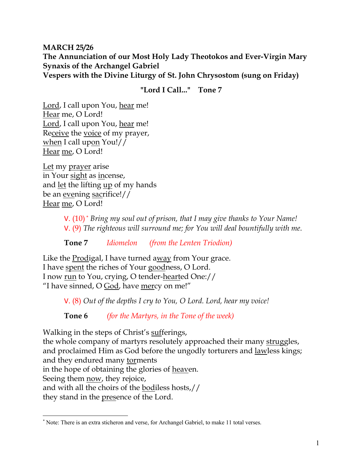### **MARCH 25/26 The Annunciation of our Most Holy Lady Theotokos and Ever-Virgin Mary Synaxis of the Archangel Gabriel Vespers with the Divine Liturgy of St. John Chrysostom (sung on Friday)**

**"Lord I Call..." Tone 7**

Lord, I call upon You, hear me! Hear me, O Lord! Lord, I call upon You, hear me! Receive the voice of my prayer, when I call upon You!// Hear me, O Lord!

Let my prayer arise in Your sight as incense, and let the lifting up of my hands be an evening sacrifice!// Hear me, O Lord!

> V. (10) \* *Bring my soul out of prison, that I may give thanks to Your Name!* V. (9) *The righteous will surround me; for You will deal bountifully with me.*

**Tone 7** *Idiomelon (from the Lenten Triodion)* 

Like the Prodigal, I have turned away from Your grace. I have spent the riches of Your goodness, O Lord. I now run to You, crying, O tender-hearted One:// "I have sinned, O God, have mercy on me!"

V. (8) *Out of the depths I cry to You, O Lord. Lord, hear my voice!* 

**Tone 6** *(for the Martyrs, in the Tone of the week)*

Walking in the steps of Christ's sufferings, the whole company of martyrs resolutely approached their many struggles, and proclaimed Him as God before the ungodly torturers and lawless kings; and they endured many torments in the hope of obtaining the glories of heaven. Seeing them **now**, they rejoice, and with all the choirs of the bodiless hosts,// they stand in the presence of the Lord.

<sup>\*</sup> Note: There is an extra sticheron and verse, for Archangel Gabriel, to make 11 total verses.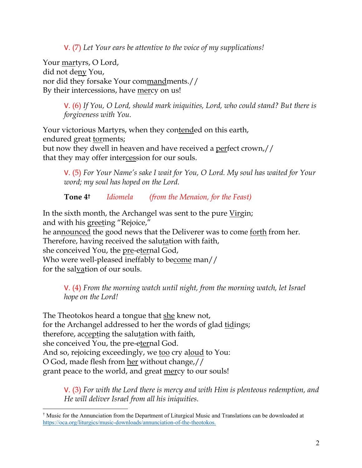V. (7) *Let Your ears be attentive to the voice of my supplications!*

Your martyrs, O Lord, did not deny You, nor did they forsake Your commandments.// By their intercessions, have mercy on us!

> V. (6) *If You, O Lord, should mark iniquities, Lord, who could stand? But there is forgiveness with You.*

Your victorious Martyrs, when they contended on this earth, endured great torments; but now they dwell in heaven and have received a perfect crown,// that they may offer intercession for our souls.

V. (5) *For Your Name's sake I wait for You, O Lord. My soul has waited for Your word; my soul has hoped on the Lord.* 

**Tone 4†** *Idiomela (from the Menaion, for the Feast)*

In the sixth month, the Archangel was sent to the pure Virgin; and with his greeting "Rejoice," he announced the good news that the Deliverer was to come forth from her. Therefore, having received the salutation with faith, she conceived You, the pre-eternal God, Who were well-pleased ineffably to become man// for the salvation of our souls.

V. (4) *From the morning watch until night, from the morning watch, let Israel hope on the Lord!* 

The Theotokos heard a tongue that she knew not, for the Archangel addressed to her the words of glad tidings; therefore, accepting the salutation with faith, she conceived You, the pre-eternal God. And so, rejoicing exceedingly, we too cry aloud to You: O God, made flesh from her without change,// grant peace to the world, and great mercy to our souls!

V. (3) *For with the Lord there is mercy and with Him is plenteous redemption, and He will deliver Israel from all his iniquities.*

<sup>†</sup> Music for the Annunciation from the Department of Liturgical Music and Translations can be downloaded at https://oca.org/liturgics/music-downloads/annunciation-of-the-theotokos.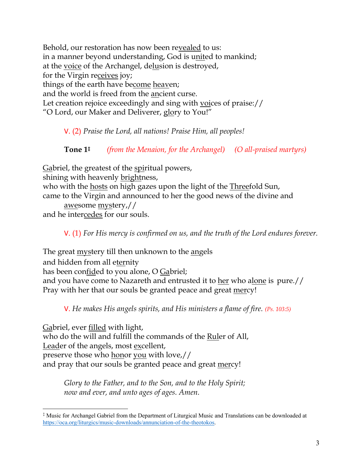Behold, our restoration has now been revealed to us: in a manner beyond understanding, God is united to mankind; at the voice of the Archangel, delusion is destroyed, for the Virgin receives joy; things of the earth have become heaven; and the world is freed from the ancient curse. Let creation rejoice exceedingly and sing with voices of praise:// "O Lord, our Maker and Deliverer, glory to You!"

V. (2) *Praise the Lord, all nations! Praise Him, all peoples!*

**Tone 1‡** *(from the Menaion, for the Archangel) (O all-praised martyrs)*

Gabriel, the greatest of the spiritual powers, shining with heavenly brightness, who with the hosts on high gazes upon the light of the Threefold Sun, came to the Virgin and announced to her the good news of the divine and awesome mystery,// and he intercedes for our souls.

V. (1) *For His mercy is confirmed on us, and the truth of the Lord endures forever.* 

The great mystery till then unknown to the angels and hidden from all eternity has been confided to you alone, O Gabriel; and you have come to Nazareth and entrusted it to her who alone is pure.// Pray with her that our souls be granted peace and great mercy!

V. *He makes His angels spirits, and His ministers a flame of fire. (Ps. 103:5)*

Gabriel, ever filled with light, who do the will and fulfill the commands of the Ruler of All, Leader of the angels, most excellent, preserve those who honor you with love,// and pray that our souls be granted peace and great mercy!

> *Glory to the Father, and to the Son, and to the Holy Spirit; now and ever, and unto ages of ages. Amen.*

<sup>‡</sup> Music for Archangel Gabriel from the Department of Liturgical Music and Translations can be downloaded at https://oca.org/liturgics/music-downloads/annunciation-of-the-theotokos.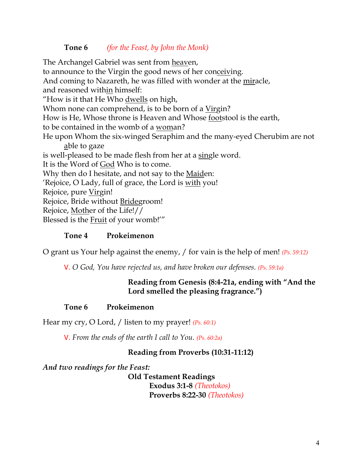## **Tone 6** *(for the Feast, by John the Monk)*

The Archangel Gabriel was sent from heaven, to announce to the Virgin the good news of her conceiving. And coming to Nazareth, he was filled with wonder at the miracle, and reasoned within himself: "How is it that He Who dwells on high, Whom none can comprehend, is to be born of a Virgin? How is He, Whose throne is Heaven and Whose footstool is the earth, to be contained in the womb of a woman? He upon Whom the six-winged Seraphim and the many-eyed Cherubim are not able to gaze is well-pleased to be made flesh from her at a single word. It is the Word of God Who is to come. Why then do I hesitate, and not say to the Maiden: 'Rejoice, O Lady, full of grace, the Lord is with you! Rejoice, pure Virgin! Rejoice, Bride without Bridegroom! Rejoice, Mother of the Life!// Blessed is the Fruit of your womb!'"

### **Tone 4 Prokeimenon**

O grant us Your help against the enemy, / for vain is the help of men! *(Ps. 59:12)*

V. *O God, You have rejected us, and have broken our defenses. (Ps. 59:1a)*

## **Reading from Genesis (8:4-21a, ending with "And the Lord smelled the pleasing fragrance.")**

## **Tone 6 Prokeimenon**

Hear my cry, O Lord, / listen to my prayer! *(Ps. 60:1)*

V. *From the ends of the earth I call to You. (Ps. 60:2a)*

## **Reading from Proverbs (10:31-11:12)**

*And two readings for the Feast:*

**Old Testament Readings Exodus 3:1-8** *(Theotokos)* **Proverbs 8:22-30** *(Theotokos)*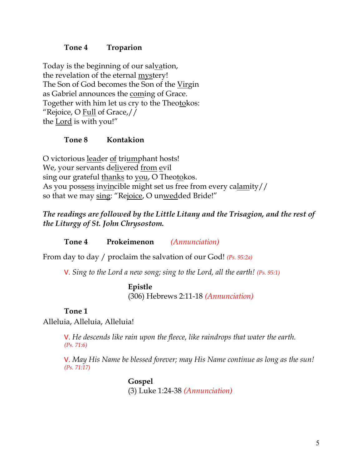### **Tone 4 Troparion**

Today is the beginning of our salvation, the revelation of the eternal mystery! The Son of God becomes the Son of the Virgin as Gabriel announces the coming of Grace. Together with him let us cry to the Theotokos: "Rejoice, O Full of Grace,// the Lord is with you!"

#### **Tone 8 Kontakion**

O victorious leader of triumphant hosts! We, your servants delivered from evil sing our grateful thanks to you, O Theotokos. As you possess invincible might set us free from every calamity// so that we may sing: "Rejoice, O unwedded Bride!"

# *The readings are followed by the Little Litany and the Trisagion, and the rest of the Liturgy of St. John Chrysostom.*

**Tone 4 Prokeimenon** *(Annunciation)*

From day to day / proclaim the salvation of our God! *(Ps. 95:2a)*

V. *Sing to the Lord a new song; sing to the Lord, all the earth! (Ps. 95:1)*

### **Epistle**

(306) Hebrews 2:11-18 *(Annunciation)*

### **Tone 1**

Alleluia, Alleluia, Alleluia!

V. *He descends like rain upon the fleece, like raindrops that water the earth. (Ps. 71:6)*

V. *May His Name be blessed forever; may His Name continue as long as the sun! (Ps. 71:17)*

> **Gospel** (3) Luke 1:24-38 *(Annunciation)*